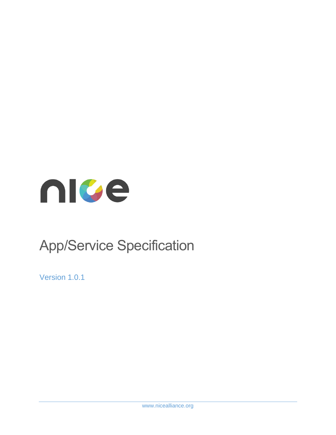

# App/Service Specification

Version 1.0.1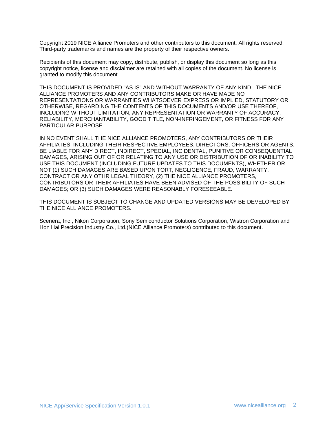Copyright 2019 NICE Alliance Promoters and other contributors to this document. All rights reserved. Third-party trademarks and names are the property of their respective owners.

Recipients of this document may copy, distribute, publish, or display this document so long as this copyright notice, license and disclaimer are retained with all copies of the document. No license is granted to modify this document.

THIS DOCUMENT IS PROVIDED "AS IS" AND WITHOUT WARRANTY OF ANY KIND. THE NICE ALLIANCE PROMOTERS AND ANY CONTRIBUTORS MAKE OR HAVE MADE NO REPRESENTATIONS OR WARRANTIES WHATSOEVER EXPRESS OR IMPLIED, STATUTORY OR OTHERWISE, REGARDING THE CONTENTS OF THIS DOCUMENTS AND/OR USE THEREOF, INCLUDING WITHOUT LIMITATION, ANY REPRESENTATION OR WARRANTY OF ACCURACY, RELIABILITY, MERCHANTABILITY, GOOD TITLE, NON-INFRINGEMENT, OR FITNESS FOR ANY PARTICULAR PURPOSE.

IN NO EVENT SHALL THE NICE ALLIANCE PROMOTERS, ANY CONTRIBUTORS OR THEIR AFFILIATES, INCLUDING THEIR RESPECTIVE EMPLOYEES, DIRECTORS, OFFICERS OR AGENTS, BE LIABLE FOR ANY DIRECT, INDIRECT, SPECIAL, INCIDENTAL, PUNITIVE OR CONSEQUENTIAL DAMAGES, ARISING OUT OF OR RELATING TO ANY USE OR DISTRIBUTION OF OR INABILITY TO USE THIS DOCUMENT (INCLUDING FUTURE UPDATES TO THIS DOCUMENTS), WHETHER OR NOT (1) SUCH DAMAGES ARE BASED UPON TORT, NEGLIGENCE, FRAUD, WARRANTY, CONTRACT OR ANY OTHR LEGAL THEORY, (2) THE NICE ALLIANCE PROMOTERS, CONTRIBUTORS OR THEIR AFFILIATES HAVE BEEN ADVISED OF THE POSSIBILITY OF SUCH DAMAGES; OR (3) SUCH DAMAGES WERE REASONABLY FORESEEABLE.

THIS DOCUMENT IS SUBJECT TO CHANGE AND UPDATED VERSIONS MAY BE DEVELOPED BY THE NICE ALLIANCE PROMOTERS.

Scenera, Inc., Nikon Corporation, Sony Semiconductor Solutions Corporation, Wistron Corporation and Hon Hai Precision Industry Co., Ltd.(NICE Alliance Promoters) contributed to this document.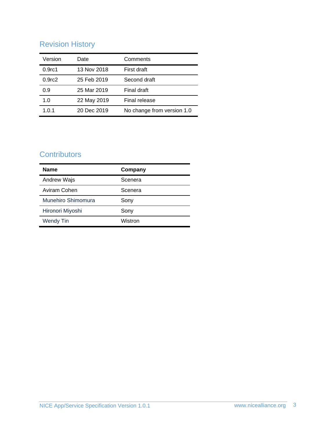# Revision History

| Version            | Date        | Comments                   |
|--------------------|-------------|----------------------------|
| 0.9 <sub>rc1</sub> | 13 Nov 2018 | First draft                |
| 0.9 <sub>rc2</sub> | 25 Feb 2019 | Second draft               |
| 0.9                | 25 Mar 2019 | Final draft                |
| 1.0                | 22 May 2019 | Final release              |
| 1.0.1              | 20 Dec 2019 | No change from version 1.0 |

# **Contributors**

| <b>Name</b>        | Company |
|--------------------|---------|
| Andrew Wajs        | Scenera |
| Aviram Cohen       | Scenera |
| Munehiro Shimomura | Sony    |
| Hironori Miyoshi   | Sony    |
| <b>Wendy Tin</b>   | Wistron |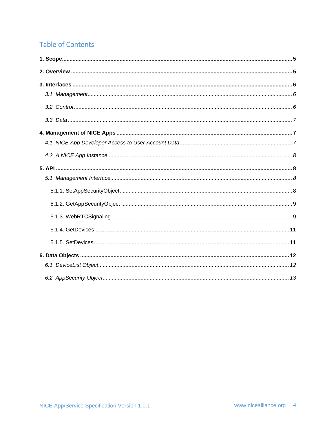# **Table of Contents**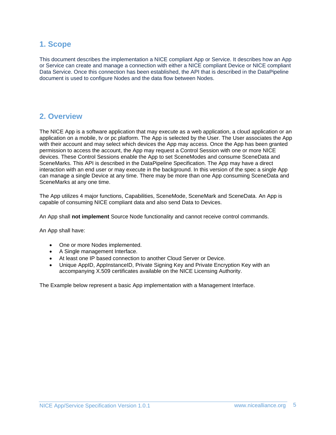### <span id="page-4-0"></span>**1. Scope**

This document describes the implementation a NICE compliant App or Service. It describes how an App or Service can create and manage a connection with either a NICE compliant Device or NICE compliant Data Service. Once this connection has been established, the API that is described in the DataPipeline document is used to configure Nodes and the data flow between Nodes.

### <span id="page-4-1"></span>**2. Overview**

The NICE App is a software application that may execute as a web application, a cloud application or an application on a mobile, tv or pc platform. The App is selected by the User. The User associates the App with their account and may select which devices the App may access. Once the App has been granted permission to access the account, the App may request a Control Session with one or more NICE devices. These Control Sessions enable the App to set SceneModes and consume SceneData and SceneMarks. This API is described in the DataPipeline Specification. The App may have a direct interaction with an end user or may execute in the background. In this version of the spec a single App can manage a single Device at any time. There may be more than one App consuming SceneData and SceneMarks at any one time.

The App utilizes 4 major functions, Capabilities, SceneMode, SceneMark and SceneData. An App is capable of consuming NICE compliant data and also send Data to Devices.

An App shall **not implement** Source Node functionality and cannot receive control commands.

An App shall have:

- One or more Nodes implemented.
- A Single management Interface.
- At least one IP based connection to another Cloud Server or Device.
- Unique AppID, AppInstanceID, Private Signing Key and Private Encryption Key with an accompanying X.509 certificates available on the NICE Licensing Authority.

The Example below represent a basic App implementation with a Management Interface.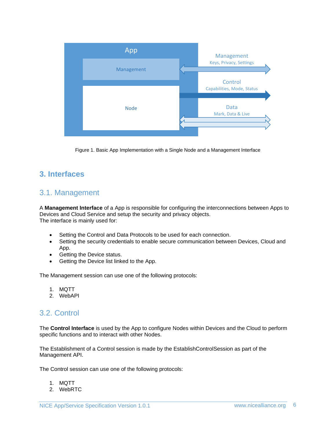

Figure 1. Basic App Implementation with a Single Node and a Management Interface

# <span id="page-5-1"></span><span id="page-5-0"></span>**3. Interfaces**

### 3.1. Management

A **Management Interface** of a App is responsible for configuring the interconnections between Apps to Devices and Cloud Service and setup the security and privacy objects. The interface is mainly used for:

- Setting the Control and Data Protocols to be used for each connection.
- Setting the security credentials to enable secure communication between Devices, Cloud and App.
- Getting the Device status.
- Getting the Device list linked to the App.

The Management session can use one of the following protocols:

- 1. MQTT
- 2. WebAPI

### <span id="page-5-2"></span>3.2. Control

The **Control Interface** is used by the App to configure Nodes within Devices and the Cloud to perform specific functions and to interact with other Nodes.

The Establishment of a Control session is made by the EstablishControlSession as part of the Management API.

The Control session can use one of the following protocols:

- 1. MQTT
- 2. WebRTC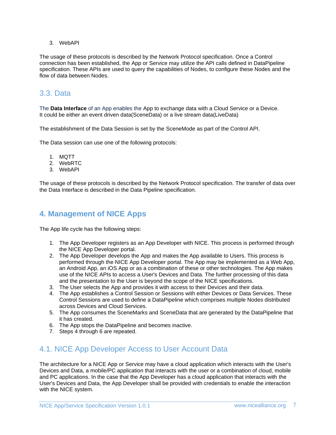3. WebAPI

The usage of these protocols is described by the Network Protocol specification. Once a Control connection has been established, the App or Service may utilize the API calls defined in DataPipeline specification. These APIs are used to query the capabilities of Nodes, to configure these Nodes and the flow of data between Nodes.

# <span id="page-6-0"></span>3.3. Data

The **Data Interface** of an App enables the App to exchange data with a Cloud Service or a Device. It could be either an event driven data(SceneData) or a live stream data(LiveData)

The establishment of the Data Session is set by the SceneMode as part of the Control API.

The Data session can use one of the following protocols:

- 1. MQTT
- 2. WebRTC
- 3. WebAPI

The usage of these protocols is described by the Network Protocol specification. The transfer of data over the Data Interface is described in the Data Pipeline specification.

### <span id="page-6-1"></span>**4. Management of NICE Apps**

The App life cycle has the following steps:

- 1. The App Developer registers as an App Developer with NICE. This process is performed through the NICE App Developer portal.
- 2. The App Developer develops the App and makes the App available to Users. This process is performed through the NICE App Developer portal. The App may be implemented as a Web App, an Android App, an iOS App or as a combination of these or other technologies. The App makes use of the NICE APIs to access a User's Devices and Data. The further processing of this data and the presentation to the User is beyond the scope of the NICE specifications.
- 3. The User selects the App and provides it with access to their Devices and their data.
- 4. The App establishes a Control Session or Sessions with either Devices or Data Services. These Control Sessions are used to define a DataPipeline which comprises multiple Nodes distributed across Devices and Cloud Services.
- 5. The App consumes the SceneMarks and SceneData that are generated by the DataPipeline that it has created.
- 6. The App stops the DataPipeline and becomes inactive.
- 7. Steps 4 through 6 are repeated.

### <span id="page-6-2"></span>4.1. NICE App Developer Access to User Account Data

The architecture for a NICE App or Service may have a cloud application which interacts with the User's Devices and Data, a mobile/PC application that interacts with the user or a combination of cloud, mobile and PC applications. In the case that the App Developer has a cloud application that interacts with the User's Devices and Data, the App Developer shall be provided with credentials to enable the interaction with the NICE system.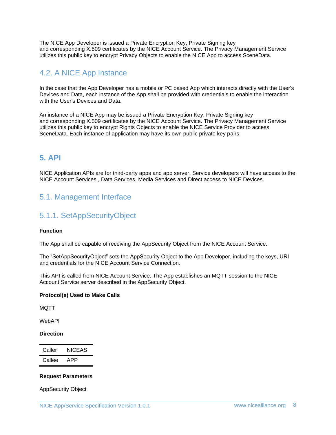The NICE App Developer is issued a Private Encryption Key, Private Signing key and corresponding X.509 certificates by the NICE Account Service. The Privacy Management Service utilizes this public key to encrypt Privacy Objects to enable the NICE App to access SceneData.

# <span id="page-7-0"></span>4.2. A NICE App Instance

In the case that the App Developer has a mobile or PC based App which interacts directly with the User's Devices and Data, each instance of the App shall be provided with credentials to enable the interaction with the User's Devices and Data.

An instance of a NICE App may be issued a Private Encryption Key, Private Signing key and corresponding X.509 certificates by the NICE Account Service. The Privacy Management Service utilizes this public key to encrypt Rights Objects to enable the NICE Service Provider to access SceneData. Each instance of application may have its own public private key pairs.

### <span id="page-7-1"></span>**5. API**

NICE Application APIs are for third-party apps and app server. Service developers will have access to the NICE Account Services , Data Services, Media Services and Direct access to NICE Devices.

# <span id="page-7-3"></span><span id="page-7-2"></span>5.1. Management Interface

### 5.1.1. SetAppSecurityObject

### **Function**

The App shall be capable of receiving the AppSecurity Object from the NICE Account Service.

The "SetAppSecurityObject" sets the AppSecurity Object to the App Developer, including the keys, URI and credentials for the NICE Account Service Connection.

This API is called from NICE Account Service. The App establishes an MQTT session to the NICE Account Service server described in the AppSecurity Object.

### **Protocol(s) Used to Make Calls**

**MOTT** 

WebAPI

#### **Direction**

| Caller | <b>NICEAS</b> |
|--------|---------------|
| Callee | APP           |

### **Request Parameters**

AppSecurity Object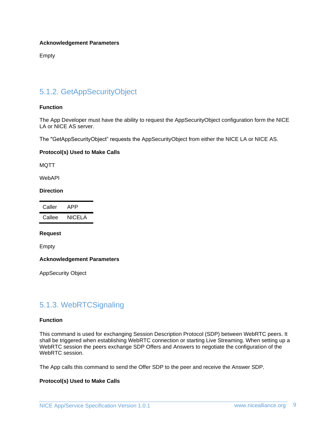#### **Acknowledgement Parameters**

Empty

### <span id="page-8-0"></span>5.1.2. GetAppSecurityObject

#### **Function**

The App Developer must have the ability to request the AppSecurityObject configuration form the NICE LA or NICE AS server.

The "GetAppSecurityObject" requests the AppSecurityObject from either the NICE LA or NICE AS.

#### **Protocol(s) Used to Make Calls**

MQTT

WebAPI

**Direction**

Caller APP Callee NICELA

#### **Request**

Empty

**Acknowledgement Parameters**

AppSecurity Object

### <span id="page-8-1"></span>5.1.3. WebRTCSignaling

#### **Function**

This command is used for exchanging Session Description Protocol (SDP) between WebRTC peers. It shall be triggered when establishing WebRTC connection or starting Live Streaming. When setting up a WebRTC session the peers exchange SDP Offers and Answers to negotiate the configuration of the WebRTC session.

The App calls this command to send the Offer SDP to the peer and receive the Answer SDP.

#### **Protocol(s) Used to Make Calls**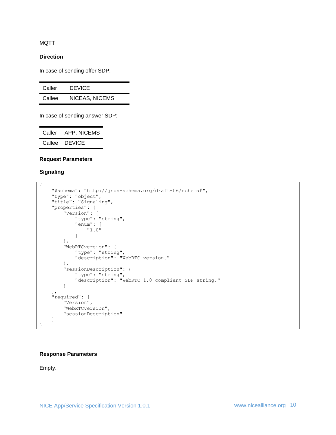MQTT

#### **Direction**

In case of sending offer SDP:

| Caller | <b>DEVICE</b>  |
|--------|----------------|
| Callee | NICEAS, NICEMS |

In case of sending answer SDP:

| Caller | APP, NICEMS   |
|--------|---------------|
| Callee | <b>DEVICE</b> |

#### **Request Parameters**

### **Signaling**

```
{
    "$schema": "http://json-schema.org/draft-06/schema#",
 "type": "object",
 "title": "Signaling",
    "properties": {
 "Version": {
 "type": "string",
             "enum": [
                 "1.0"
             ]
        },
         "WebRTCversion": {
             "type": "string",
             "description": "WebRTC version."
         },
         "sessionDescription": {
             "type": "string",
             "description": "WebRTC 1.0 compliant SDP string."
        }
    },
    "required": [
        "Version",
        "WebRTCversion",
        "sessionDescription"
    ]
}
```
#### **Response Parameters**

Empty.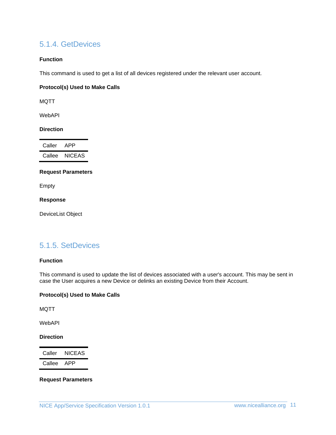### <span id="page-10-0"></span>5.1.4. GetDevices

### **Function**

This command is used to get a list of all devices registered under the relevant user account.

### **Protocol(s) Used to Make Calls**

MQTT

WebAPI

#### **Direction**

| Caller | APP    |
|--------|--------|
| Callee | NICEAS |

### **Request Parameters**

Empty

**Response**

DeviceList Object

### <span id="page-10-1"></span>5.1.5. SetDevices

#### **Function**

This command is used to update the list of devices associated with a user's account. This may be sent in case the User acquires a new Device or delinks an existing Device from their Account.

### **Protocol(s) Used to Make Calls**

MQTT

WebAPI

### **Direction**

Caller NICEAS Callee APP

### **Request Parameters**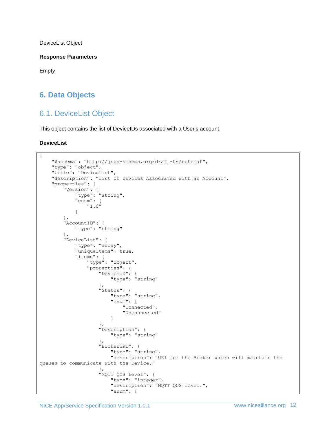DeviceList Object

**Response Parameters**

Empty

# <span id="page-11-1"></span><span id="page-11-0"></span>**6. Data Objects**

# 6.1. DeviceList Object

This object contains the list of DeviceIDs associated with a User's account.

### **DeviceList**

```
{
     "$schema": "http://json-schema.org/draft-06/schema#",
     "type": "object",
     "title": "DeviceList",
     "description": "List of Devices Associated with an Account",
     "properties": {
 "Version": {
 "type": "string",
               "enum": [
                   "1.0"
 ]
          },
          "AccountID": {
               "type": "string"
          },
          "DeviceList": {
               "type": "array",
               "uniqueItems": true,
               "items": {
                    "type": "object",
                    "properties": {
                        "DeviceID": {
                             "type": "string"
 },
                        "Status": {
                             "type": "string",
                            "enum": [
                                  "Connected",
                                 "Unconnected"
\sim 100 \sim 100 \sim 100 \sim 100 \sim 100 \sim 100 \sim 100 \sim 100 \sim 100 \sim 100 \sim 100 \sim 100 \sim 100 \sim 100 \sim 100 \sim 100 \sim 100 \sim 100 \sim 100 \sim 100 \sim 100 \sim 100 \sim 100 \sim 100 \sim 
 },
                       "Description": {
                             "type": "string"
 },
                       "BrokerURI": {
                             "type": "string",
                            "description": "URI for the Broker which will maintain the 
queues to communicate with the Device."
 },
                       "MQTT QOS Level": {
                             "type": "integer",
                            "description": "MQTT QOS level.",
                            "enum": [
```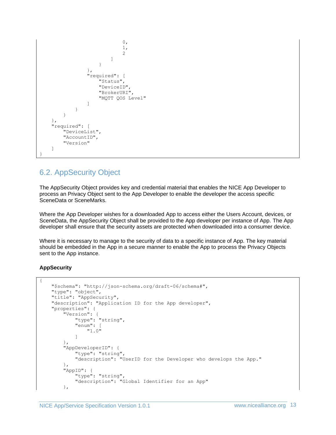```
\mathfrak{0},1,
                                               2
\sim 100 \sim 100 \sim 100 \sim 100 \sim 100 \sim 100 \sim 100 \sim 100 \sim 100 \sim 100 \sim 100 \sim 100 \sim 100 \sim 100 \sim 100 \sim 100 \sim 100 \sim 100 \sim 100 \sim 100 \sim 100 \sim 100 \sim 100 \sim 100 \sim 
 }
                            },
                            "required": [
                                  "Status",
                                 "DeviceID",
                                 "BrokerURI",
                                 "MQTT QOS Level"
 ]
 }
              }
       },
       "required": [
              "DeviceList",
              "AccountID",
              "Version"
       ]
}
```
# <span id="page-12-0"></span>6.2. AppSecurity Object

The AppSecurity Object provides key and credential material that enables the NICE App Developer to process an Privacy Object sent to the App Developer to enable the developer the access specific SceneData or SceneMarks.

Where the App Developer wishes for a downloaded App to access either the Users Account, devices, or SceneData, the AppSecurity Object shall be provided to the App developer per instance of App. The App developer shall ensure that the security assets are protected when downloaded into a consumer device.

Where it is necessary to manage to the security of data to a specific instance of App. The key material should be embedded in the App in a secure manner to enable the App to process the Privacy Objects sent to the App instance.

### **AppSecurity**

{

```
 "$schema": "http://json-schema.org/draft-06/schema#",
     "type": "object",
     "title": "AppSecurity",
     "description": "Application ID for the App developer",
     "properties": {
         "Version": {
             "type": "string",
             "enum": [
                 "1.0"
 ]
         },
         "AppDeveloperID": {
             "type": "string",
             "description": "UserID for the Developer who develops the App."
         },
         "AppID": {
             "type": "string",
             "description": "Global Identifier for an App"
         },
```